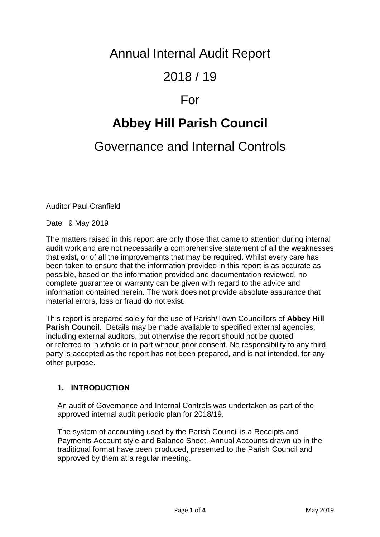# Annual Internal Audit Report

# 2018 / 19

### For

# **Abbey Hill Parish Council**

## Governance and Internal Controls

Auditor Paul Cranfield

Date 9 May 2019

The matters raised in this report are only those that came to attention during internal audit work and are not necessarily a comprehensive statement of all the weaknesses that exist, or of all the improvements that may be required. Whilst every care has been taken to ensure that the information provided in this report is as accurate as possible, based on the information provided and documentation reviewed, no complete guarantee or warranty can be given with regard to the advice and information contained herein. The work does not provide absolute assurance that material errors, loss or fraud do not exist.

This report is prepared solely for the use of Parish/Town Councillors of **Abbey Hill Parish Council**. Details may be made available to specified external agencies, including external auditors, but otherwise the report should not be quoted or referred to in whole or in part without prior consent. No responsibility to any third party is accepted as the report has not been prepared, and is not intended, for any other purpose.

#### **1. INTRODUCTION**

An audit of Governance and Internal Controls was undertaken as part of the approved internal audit periodic plan for 2018/19.

The system of accounting used by the Parish Council is a Receipts and Payments Account style and Balance Sheet. Annual Accounts drawn up in the traditional format have been produced, presented to the Parish Council and approved by them at a regular meeting.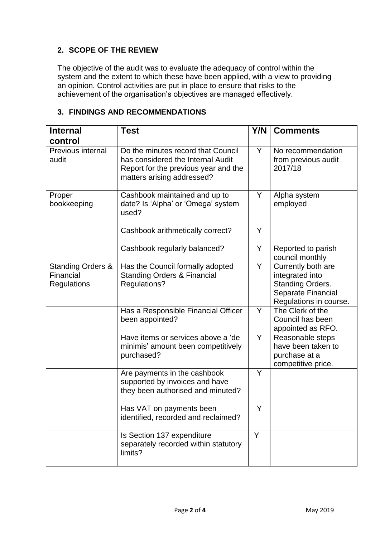#### **2. SCOPE OF THE REVIEW**

The objective of the audit was to evaluate the adequacy of control within the system and the extent to which these have been applied, with a view to providing an opinion. Control activities are put in place to ensure that risks to the achievement of the organisation's objectives are managed effectively.

|  |  |  | 3. FINDINGS AND RECOMMENDATIONS |  |
|--|--|--|---------------------------------|--|
|--|--|--|---------------------------------|--|

| <b>Internal</b><br>control                                      | <b>Test</b>                                                                                                                                   | Y/N | <b>Comments</b>                                                                                           |
|-----------------------------------------------------------------|-----------------------------------------------------------------------------------------------------------------------------------------------|-----|-----------------------------------------------------------------------------------------------------------|
| Previous internal<br>audit                                      | Do the minutes record that Council<br>has considered the Internal Audit<br>Report for the previous year and the<br>matters arising addressed? | Y.  | No recommendation<br>from previous audit<br>2017/18                                                       |
| Proper<br>bookkeeping                                           | Cashbook maintained and up to<br>date? Is 'Alpha' or 'Omega' system<br>used?                                                                  | Y   | Alpha system<br>employed                                                                                  |
|                                                                 | Cashbook arithmetically correct?                                                                                                              | Y   |                                                                                                           |
|                                                                 | Cashbook regularly balanced?                                                                                                                  | Y   | Reported to parish<br>council monthly                                                                     |
| <b>Standing Orders &amp;</b><br>Financial<br><b>Regulations</b> | Has the Council formally adopted<br><b>Standing Orders &amp; Financial</b><br>Regulations?                                                    | Y   | Currently both are<br>integrated into<br>Standing Orders.<br>Separate Financial<br>Regulations in course. |
|                                                                 | Has a Responsible Financial Officer<br>been appointed?                                                                                        | Y   | The Clerk of the<br>Council has been<br>appointed as RFO.                                                 |
|                                                                 | Have items or services above a 'de<br>minimis' amount been competitively<br>purchased?                                                        | Y   | Reasonable steps<br>have been taken to<br>purchase at a<br>competitive price.                             |
|                                                                 | Are payments in the cashbook<br>supported by invoices and have<br>they been authorised and minuted?                                           | Y   |                                                                                                           |
|                                                                 | Has VAT on payments been<br>identified, recorded and reclaimed?                                                                               | Y   |                                                                                                           |
|                                                                 | Is Section 137 expenditure<br>separately recorded within statutory<br>limits?                                                                 | Y   |                                                                                                           |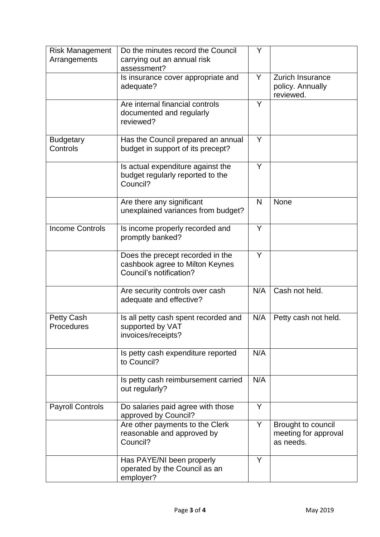| <b>Risk Management</b><br>Arrangements | Do the minutes record the Council<br>carrying out an annual risk<br>assessment?                | Y   |                                                          |
|----------------------------------------|------------------------------------------------------------------------------------------------|-----|----------------------------------------------------------|
|                                        | Is insurance cover appropriate and<br>adequate?                                                | Y   | <b>Zurich Insurance</b><br>policy. Annually<br>reviewed. |
|                                        | Are internal financial controls<br>documented and regularly<br>reviewed?                       | Y   |                                                          |
| <b>Budgetary</b><br>Controls           | Has the Council prepared an annual<br>budget in support of its precept?                        | Y   |                                                          |
|                                        | Is actual expenditure against the<br>budget regularly reported to the<br>Council?              | Y   |                                                          |
|                                        | Are there any significant<br>unexplained variances from budget?                                | N   | <b>None</b>                                              |
| <b>Income Controls</b>                 | Is income properly recorded and<br>promptly banked?                                            | Y   |                                                          |
|                                        | Does the precept recorded in the<br>cashbook agree to Milton Keynes<br>Council's notification? | Y   |                                                          |
|                                        | Are security controls over cash<br>adequate and effective?                                     | N/A | Cash not held.                                           |
| <b>Petty Cash</b><br>Procedures        | Is all petty cash spent recorded and<br>supported by VAT<br>invoices/receipts?                 | N/A | Petty cash not held.                                     |
|                                        | Is petty cash expenditure reported<br>to Council?                                              | N/A |                                                          |
|                                        | Is petty cash reimbursement carried<br>out regularly?                                          | N/A |                                                          |
| <b>Payroll Controls</b>                | Do salaries paid agree with those<br>approved by Council?                                      | Y   |                                                          |
|                                        | Are other payments to the Clerk<br>reasonable and approved by<br>Council?                      | Y.  | Brought to council<br>meeting for approval<br>as needs.  |
|                                        | Has PAYE/NI been properly<br>operated by the Council as an<br>employer?                        | Y   |                                                          |